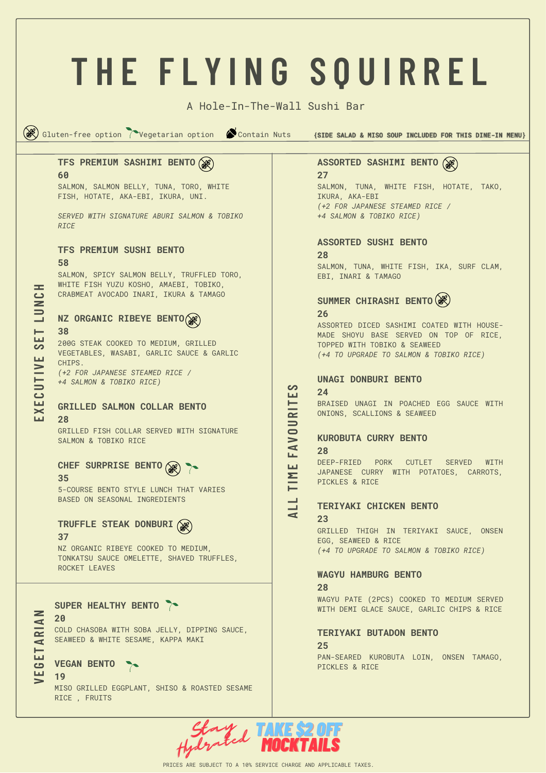## **T H E F L Y I N G S Q U I R R E L** A Hole-In-The-Wall Sushi Bar GBC Gluten-free option Tegetarian option Contain Nuts {SIDE SALAD & MISO SOUP INCLUDED FOR THIS DINE-IN MENU} **ASSORTED SASHIMI BENTO TFS PREMIUM SASHIMI BENTO 60 27** SALMON, SALMON BELLY, TUNA, TORO, WHITE SALMON, TUNA, WHITE FISH, HOTATE, TAKO, FISH, HOTATE, AKA-EBI, IKURA, UNI. IKURA, AKA-EBI *(+2 FOR JAPANESE STEAMED RICE / SERVED WITH SIGNATURE ABURI SALMON & TOBIKO +4 SALMON & TOBIKO RICE) RICE* **ASSORTED SUSHI BENTO TFS PREMIUM SUSHI BENTO 28 58** SALMON, TUNA, WHITE FISH, IKA, SURF CLAM, SALMON, SPICY SALMON BELLY, TRUFFLED TORO, EBI, INARI & TAMAGO WHITE FISH YUZU KOSHO, AMAEBI, TOBIKO, **H**CRABMEAT AVOCADO INARI, IKURA & TAMAGO <u>ت</u> **SUMMER CHIRASHI BENTO N26 LUNZ ORGANIC RIBEYE BENTO** ASSORTED DICED SASHIMI COATED WITH HOUSE-**38 ET**MADE SHOYU BASE SERVED ON TOP OF RICE, 200G STEAK COOKED TO MEDIUM, GRILLED TOPPED WITH TOBIKO & SEAWEED **S**VEGETABLES, WASABI, GARLIC SAUCE & GARLIC *(+4 TO UPGRADE TO SALMON & TOBIKO RICE)* **E**CHIPS.  $\sum_{i=1}^{n}$ *(+2 FOR JAPANESE STEAMED RICE /* **UNAGI DONBURI BENTO** *+4 SALMON & TOBIKO RICE)* **UES24** <u>ت</u> BRAISED UNAGI IN POACHED EGG SAUCE WITH **ER I T GRILLED SALMON COLLAR BENTO** ONIONS, SCALLIONS & SEAWEED **EX28 U**GRILLED FISH COLLAR SERVED WITH SIGNATURE **OKUROBUTA CURRY BENTO** SALMON & TOBIKO RICE  $\geqslant$ **FA28 CHEF SURPRISE BENTO** DEEP-FRIED PORK CUTLET SERVED WITH **E**JAPANESE CURRY WITH POTATOES, CARROTS, **T IM 35** PICKLES & RICE 5-COURSE BENTO STYLE LUNCH THAT VARIES BASED ON SEASONAL INGREDIENTS **LTERIYAKI CHICKEN BENTO LA23 TRUFFLE STEAK DONBURI** GRILLED THIGH IN TERIYAKI SAUCE, ONSEN **37** EGG, SEAWEED & RICE NZ ORGANIC RIBEYE COOKED TO MEDIUM, *(+4 TO UPGRADE TO SALMON & TOBIKO RICE)* TONKATSU SAUCE OMELETTE, SHAVED TRUFFLES, ROCKET LEAVES **WAGYU HAMBURG BENTO 28** WAGYU PATE (2PCS) COOKED TO MEDIUM SERVED **SUPER HEALTHY BENTO** WITH DEMI GLACE SAUCE, GARLIC CHIPS & RICE **N20 R I A** COLD CHASOBA WITH SOBA JELLY, DIPPING SAUCE, **TERIYAKI BUTADON BENTO** SEAWEED & WHITE SESAME, KAPPA MAKI **A**

## **VEGAN BENTO**

**19**

**VEGET**

MISO GRILLED EGGPLANT, SHISO & ROASTED SESAME RICE , FRUITS

## **25**

PAN-SEARED KUROBUTA LOIN, ONSEN TAMAGO, PICKLES & RICE

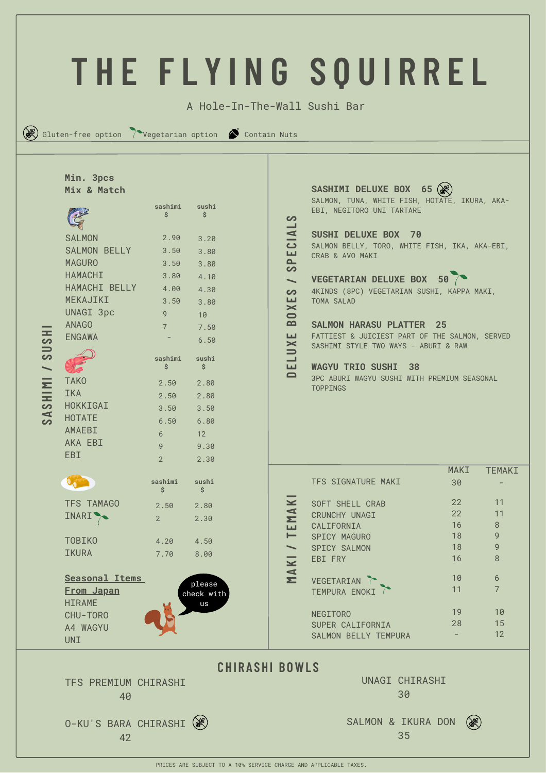|                                                                              |                                                                                                                                                                                                                            |                                                                                                                                    |                                                                                                                                  |                                                                                                                                                      | THE FLYING SOUIRREL                                                                                                                                                                                                                                                                                                                                                                                                                                                                                                           |                      |                                       |  |  |  |  |
|------------------------------------------------------------------------------|----------------------------------------------------------------------------------------------------------------------------------------------------------------------------------------------------------------------------|------------------------------------------------------------------------------------------------------------------------------------|----------------------------------------------------------------------------------------------------------------------------------|------------------------------------------------------------------------------------------------------------------------------------------------------|-------------------------------------------------------------------------------------------------------------------------------------------------------------------------------------------------------------------------------------------------------------------------------------------------------------------------------------------------------------------------------------------------------------------------------------------------------------------------------------------------------------------------------|----------------------|---------------------------------------|--|--|--|--|
|                                                                              |                                                                                                                                                                                                                            |                                                                                                                                    |                                                                                                                                  |                                                                                                                                                      |                                                                                                                                                                                                                                                                                                                                                                                                                                                                                                                               |                      |                                       |  |  |  |  |
|                                                                              |                                                                                                                                                                                                                            |                                                                                                                                    |                                                                                                                                  | A Hole-In-The-Wall Sushi Bar                                                                                                                         |                                                                                                                                                                                                                                                                                                                                                                                                                                                                                                                               |                      |                                       |  |  |  |  |
| $(\mathbb{R})$ Gluten-free option (Vegetarian option) $\bullet$ Contain Nuts |                                                                                                                                                                                                                            |                                                                                                                                    |                                                                                                                                  |                                                                                                                                                      |                                                                                                                                                                                                                                                                                                                                                                                                                                                                                                                               |                      |                                       |  |  |  |  |
| 35<br>$\frac{1}{3}$<br><b>ININS</b><br>$\blacktriangleleft$<br>တ             | Min. 3pcs<br>Mix & Match<br><b>SALMON</b><br>SALMON BELLY<br><b>MAGURO</b><br><b>HAMACHI</b><br>HAMACHI BELLY<br>MEKAJIKI<br>UNAGI 3pc<br><b>ANAGO</b><br><b>ENGAWA</b><br><b>TAKO</b><br>IKA<br>HOKKIGAI<br><b>HOTATE</b> | sashimi<br>Ś.<br>2.90<br>3.50<br>3.50<br>3.80<br>4.00<br>3.50<br>9<br>$7^{\circ}$<br>sashimi<br>\$<br>2.50<br>2.50<br>3.50<br>6.50 | sushi<br>\$<br>3.20<br>3.80<br>3.80<br>4.10<br>4.30<br>3.80<br>10<br>7.50<br>6.50<br>sushi<br>\$<br>2.80<br>2.80<br>3.50<br>6.80 | တ<br>CIA<br>Щ<br>௨<br>လ<br>$\overline{\phantom{0}}$<br>တ<br>ш<br>$\mathbf{\times}$<br>$\bullet$<br>$\mathbf{a}$<br>LL.<br>$\leq$<br>┙<br>ш<br>$\Box$ | SASHIMI DELUXE BOX 65 (38)<br>SALMON, TUNA, WHITE FISH, HOTATE, IKURA, AKA-<br>EBI, NEGITORO UNI TARTARE<br>SUSHI DELUXE BOX 70<br>SALMON BELLY, TORO, WHITE FISH, IKA, AKA-EBI,<br>CRAB & AVO MAKI<br>VEGETARIAN DELUXE BOX 50<br>4KINDS (8PC) VEGETARIAN SUSHI, KAPPA MAKI,<br>TOMA SALAD<br><b>SALMON HARASU PLATTER 25</b><br>FATTIEST & JUICIEST PART OF THE SALMON, SERVED<br>SASHIMI STYLE TWO WAYS - ABURI & RAW<br><b>WAGYU TRIO SUSHI</b><br>- 38<br>3PC ABURI WAGYU SUSHI WITH PREMIUM SEASONAL<br><b>TOPPINGS</b> |                      |                                       |  |  |  |  |
|                                                                              | AMAEBI<br>AKA EBI<br><b>EBI</b>                                                                                                                                                                                            | 6<br>9<br>$\overline{2}$<br>sashimi                                                                                                | 12<br>9.30<br>2.30<br>sushi                                                                                                      |                                                                                                                                                      | TFS SIGNATURE MAKI                                                                                                                                                                                                                                                                                                                                                                                                                                                                                                            | <b>MAKI</b><br>30    | <b>TEMAKI</b>                         |  |  |  |  |
|                                                                              | TFS TAMAGO<br>INARI <sup>&gt;</sup>                                                                                                                                                                                        | \$<br>2.50<br>$2^{\circ}$                                                                                                          | \$<br>2.80<br>2.30                                                                                                               | $\leq$<br>MA<br>ш<br>⊢                                                                                                                               | <b>SOFT SHELL CRAB</b><br>CRUNCHY UNAGI<br>CALIFORNIA<br>SPICY MAGURO                                                                                                                                                                                                                                                                                                                                                                                                                                                         | 22<br>22<br>16<br>18 | 11<br>11<br>8<br>9                    |  |  |  |  |
|                                                                              | <b>TOBIKO</b><br><b>IKURA</b>                                                                                                                                                                                              | 4.20<br>7.70                                                                                                                       | 4.50<br>8.00                                                                                                                     | $\overline{\phantom{0}}$<br>$\overline{\mathbf{z}}$                                                                                                  | SPICY SALMON<br>EBI FRY                                                                                                                                                                                                                                                                                                                                                                                                                                                                                                       | 18<br>16             | 9<br>8                                |  |  |  |  |
|                                                                              | Seasonal Items<br>From Japan<br><b>HIRAME</b><br>CHU-TORO<br>A4 WAGYU<br><b>UNI</b>                                                                                                                                        |                                                                                                                                    | please<br>check with<br>us                                                                                                       | MA                                                                                                                                                   | VEGETARIAN<br>TEMPURA ENOKI<br><b>NEGITORO</b><br>SUPER CALIFORNIA<br>SALMON BELLY TEMPURA                                                                                                                                                                                                                                                                                                                                                                                                                                    | 10<br>11<br>19<br>28 | 6<br>$\overline{7}$<br>10<br>15<br>12 |  |  |  |  |
|                                                                              |                                                                                                                                                                                                                            |                                                                                                                                    |                                                                                                                                  | <b>CHIRASHI BOWLS</b>                                                                                                                                |                                                                                                                                                                                                                                                                                                                                                                                                                                                                                                                               |                      |                                       |  |  |  |  |
|                                                                              | 40                                                                                                                                                                                                                         | UNAGI CHIRASHI<br>TFS PREMIUM CHIRASHI<br>30                                                                                       |                                                                                                                                  |                                                                                                                                                      |                                                                                                                                                                                                                                                                                                                                                                                                                                                                                                                               |                      |                                       |  |  |  |  |
|                                                                              | 0-KU'S BARA CHIRASHI (<br>42                                                                                                                                                                                               |                                                                                                                                    |                                                                                                                                  |                                                                                                                                                      | SALMON & IKURA DON<br>35                                                                                                                                                                                                                                                                                                                                                                                                                                                                                                      | <b>BE)</b>           |                                       |  |  |  |  |